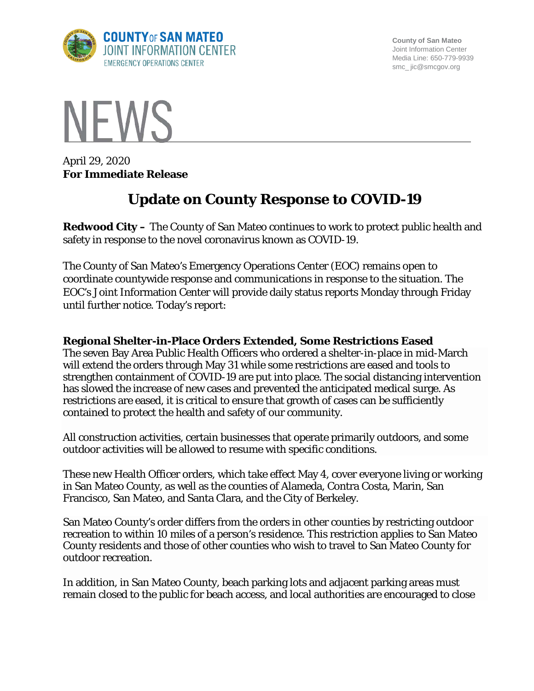

**County of San Mateo** Joint Information Center Media Line: 650-779-9939 smc\_ jic@smcgov.org



April 29, 2020 **For Immediate Release**

# **Update on County Response to COVID-19**

**Redwood City –** The County of San Mateo continues to work to protect public health and safety in response to the novel coronavirus known as COVID-19.

The County of San Mateo's Emergency Operations Center (EOC) remains open to coordinate countywide response and communications in response to the situation. The EOC's Joint Information Center will provide daily status reports Monday through Friday until further notice. Today's report:

## **Regional Shelter-in-Place Orders Extended, Some Restrictions Eased**

The seven Bay Area Public Health Officers who ordered a shelter-in-place in mid-March will extend the orders through May 31 while some restrictions are eased and tools to strengthen containment of COVID-19 are put into place. The social distancing intervention has slowed the increase of new cases and prevented the anticipated medical surge. As restrictions are eased, it is critical to ensure that growth of cases can be sufficiently contained to protect the health and safety of our community.

All construction activities, certain businesses that operate primarily outdoors, and some outdoor activities will be allowed to resume with specific conditions.

These new Health Officer orders, which take effect May 4, cover everyone living or working in San Mateo County, as well as the counties of Alameda, Contra Costa, Marin, San Francisco, San Mateo, and Santa Clara, and the City of Berkeley.

San Mateo County's order differs from the orders in other counties by restricting outdoor recreation to within 10 miles of a person's residence. This restriction applies to San Mateo County residents and those of other counties who wish to travel to San Mateo County for outdoor recreation.

In addition, in San Mateo County, beach parking lots and adjacent parking areas must remain closed to the public for beach access, and local authorities are encouraged to close